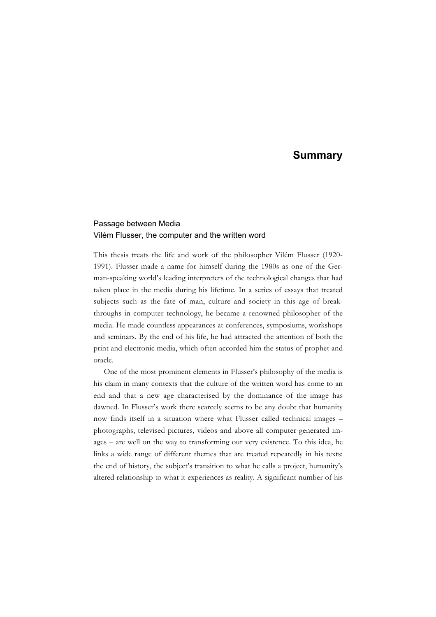## Passage between Media Vilém Flusser, the computer and the written word

This thesis treats the life and work of the philosopher Vilém Flusser (1920- 1991). Flusser made a name for himself during the 1980s as one of the German-speaking world's leading interpreters of the technological changes that had taken place in the media during his lifetime. In a series of essays that treated subjects such as the fate of man, culture and society in this age of breakthroughs in computer technology, he became a renowned philosopher of the media. He made countless appearances at conferences, symposiums, workshops and seminars. By the end of his life, he had attracted the attention of both the print and electronic media, which often accorded him the status of prophet and oracle.

One of the most prominent elements in Flusser's philosophy of the media is his claim in many contexts that the culture of the written word has come to an end and that a new age characterised by the dominance of the image has dawned. In Flusser's work there scarcely seems to be any doubt that humanity now finds itself in a situation where what Flusser called technical images – photographs, televised pictures, videos and above all computer generated images – are well on the way to transforming our very existence. To this idea, he links a wide range of different themes that are treated repeatedly in his texts: the end of history, the subject's transition to what he calls a project, humanity's altered relationship to what it experiences as reality. A significant number of his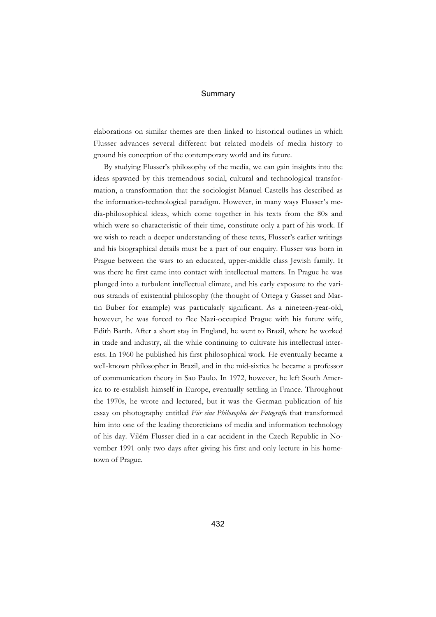elaborations on similar themes are then linked to historical outlines in which Flusser advances several different but related models of media history to ground his conception of the contemporary world and its future.

By studying Flusser's philosophy of the media, we can gain insights into the ideas spawned by this tremendous social, cultural and technological transformation, a transformation that the sociologist Manuel Castells has described as the information-technological paradigm. However, in many ways Flusser's media-philosophical ideas, which come together in his texts from the 80s and which were so characteristic of their time, constitute only a part of his work. If we wish to reach a deeper understanding of these texts, Flusser's earlier writings and his biographical details must be a part of our enquiry. Flusser was born in Prague between the wars to an educated, upper-middle class Jewish family. It was there he first came into contact with intellectual matters. In Prague he was plunged into a turbulent intellectual climate, and his early exposure to the various strands of existential philosophy (the thought of Ortega y Gasset and Martin Buber for example) was particularly significant. As a nineteen-year-old, however, he was forced to flee Nazi-occupied Prague with his future wife, Edith Barth. After a short stay in England, he went to Brazil, where he worked in trade and industry, all the while continuing to cultivate his intellectual interests. In 1960 he published his first philosophical work. He eventually became a well-known philosopher in Brazil, and in the mid-sixties he became a professor of communication theory in Sao Paulo. In 1972, however, he left South America to re-establish himself in Europe, eventually settling in France. Throughout the 1970s, he wrote and lectured, but it was the German publication of his essay on photography entitled *Für eine Philosophie der Fotografie* that transformed him into one of the leading theoreticians of media and information technology of his day. Vilém Flusser died in a car accident in the Czech Republic in November 1991 only two days after giving his first and only lecture in his hometown of Prague.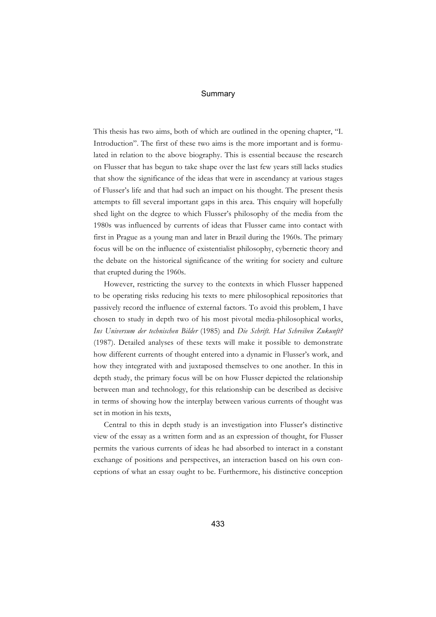This thesis has two aims, both of which are outlined in the opening chapter, "I. Introduction". The first of these two aims is the more important and is formulated in relation to the above biography. This is essential because the research on Flusser that has begun to take shape over the last few years still lacks studies that show the significance of the ideas that were in ascendancy at various stages of Flusser's life and that had such an impact on his thought. The present thesis attempts to fill several important gaps in this area. This enquiry will hopefully shed light on the degree to which Flusser's philosophy of the media from the 1980s was influenced by currents of ideas that Flusser came into contact with first in Prague as a young man and later in Brazil during the 1960s. The primary focus will be on the influence of existentialist philosophy, cybernetic theory and the debate on the historical significance of the writing for society and culture that erupted during the 1960s.

However, restricting the survey to the contexts in which Flusser happened to be operating risks reducing his texts to mere philosophical repositories that passively record the influence of external factors. To avoid this problem, I have chosen to study in depth two of his most pivotal media-philosophical works, *Ins Universum der technischen Bilder* (1985) and *Die Schrift. Hat Schreiben Zukunft?* (1987). Detailed analyses of these texts will make it possible to demonstrate how different currents of thought entered into a dynamic in Flusser's work, and how they integrated with and juxtaposed themselves to one another. In this in depth study, the primary focus will be on how Flusser depicted the relationship between man and technology, for this relationship can be described as decisive in terms of showing how the interplay between various currents of thought was set in motion in his texts,

Central to this in depth study is an investigation into Flusser's distinctive view of the essay as a written form and as an expression of thought, for Flusser permits the various currents of ideas he had absorbed to interact in a constant exchange of positions and perspectives, an interaction based on his own conceptions of what an essay ought to be. Furthermore, his distinctive conception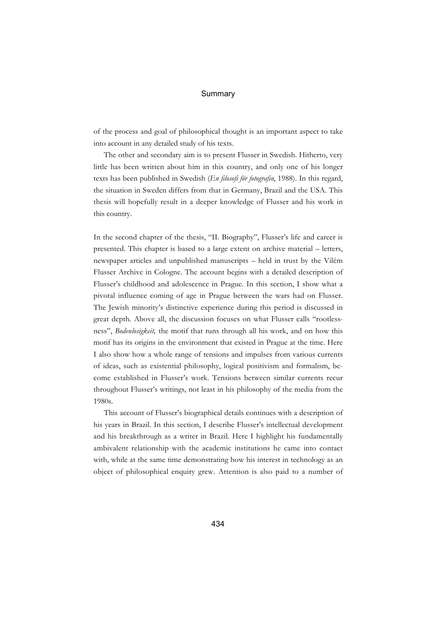of the process and goal of philosophical thought is an important aspect to take into account in any detailed study of his texts.

The other and secondary aim is to present Flusser in Swedish. Hitherto, very little has been written about him in this country, and only one of his longer texts has been published in Swedish (*En filosofi för fotografin*, 1988). In this regard, the situation in Sweden differs from that in Germany, Brazil and the USA. This thesis will hopefully result in a deeper knowledge of Flusser and his work in this country.

In the second chapter of the thesis, "II. Biography", Flusser's life and career is presented. This chapter is based to a large extent on archive material – letters, newspaper articles and unpublished manuscripts – held in trust by the Vilém Flusser Archive in Cologne. The account begins with a detailed description of Flusser's childhood and adolescence in Prague. In this section, I show what a pivotal influence coming of age in Prague between the wars had on Flusser. The Jewish minority's distinctive experience during this period is discussed in great depth. Above all, the discussion focuses on what Flusser calls "rootlessness", *Bodenlosigkeit,* the motif that runs through all his work, and on how this motif has its origins in the environment that existed in Prague at the time. Here I also show how a whole range of tensions and impulses from various currents of ideas, such as existential philosophy, logical positivism and formalism, become established in Flusser's work. Tensions between similar currents recur throughout Flusser's writings, not least in his philosophy of the media from the 1980s.

This account of Flusser's biographical details continues with a description of his years in Brazil. In this section, I describe Flusser's intellectual development and his breakthrough as a writer in Brazil. Here I highlight his fundamentally ambivalent relationship with the academic institutions he came into contact with, while at the same time demonstrating how his interest in technology as an object of philosophical enquiry grew. Attention is also paid to a number of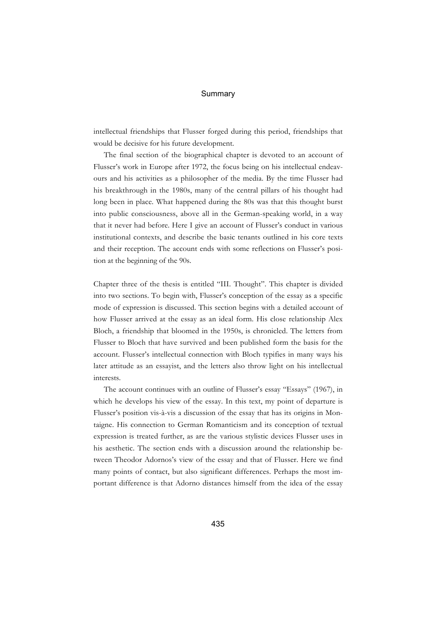intellectual friendships that Flusser forged during this period, friendships that would be decisive for his future development.

The final section of the biographical chapter is devoted to an account of Flusser's work in Europe after 1972, the focus being on his intellectual endeavours and his activities as a philosopher of the media. By the time Flusser had his breakthrough in the 1980s, many of the central pillars of his thought had long been in place. What happened during the 80s was that this thought burst into public consciousness, above all in the German-speaking world, in a way that it never had before. Here I give an account of Flusser's conduct in various institutional contexts, and describe the basic tenants outlined in his core texts and their reception. The account ends with some reflections on Flusser's position at the beginning of the 90s.

Chapter three of the thesis is entitled "III. Thought". This chapter is divided into two sections. To begin with, Flusser's conception of the essay as a specific mode of expression is discussed. This section begins with a detailed account of how Flusser arrived at the essay as an ideal form. His close relationship Alex Bloch, a friendship that bloomed in the 1950s, is chronicled. The letters from Flusser to Bloch that have survived and been published form the basis for the account. Flusser's intellectual connection with Bloch typifies in many ways his later attitude as an essayist, and the letters also throw light on his intellectual interests.

The account continues with an outline of Flusser's essay "Essays" (1967), in which he develops his view of the essay. In this text, my point of departure is Flusser's position vis-à-vis a discussion of the essay that has its origins in Montaigne. His connection to German Romanticism and its conception of textual expression is treated further, as are the various stylistic devices Flusser uses in his aesthetic. The section ends with a discussion around the relationship between Theodor Adornos's view of the essay and that of Flusser. Here we find many points of contact, but also significant differences. Perhaps the most important difference is that Adorno distances himself from the idea of the essay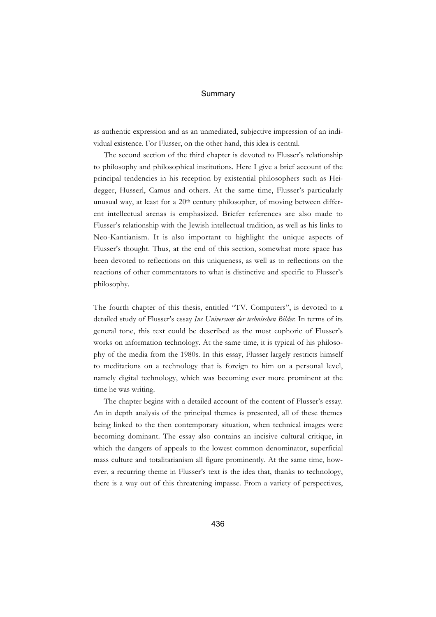as authentic expression and as an unmediated, subjective impression of an individual existence. For Flusser, on the other hand, this idea is central.

The second section of the third chapter is devoted to Flusser's relationship to philosophy and philosophical institutions. Here I give a brief account of the principal tendencies in his reception by existential philosophers such as Heidegger, Husserl, Camus and others. At the same time, Flusser's particularly unusual way, at least for a  $20<sup>th</sup>$  century philosopher, of moving between different intellectual arenas is emphasized. Briefer references are also made to Flusser's relationship with the Jewish intellectual tradition, as well as his links to Neo-Kantianism. It is also important to highlight the unique aspects of Flusser's thought. Thus, at the end of this section, somewhat more space has been devoted to reflections on this uniqueness, as well as to reflections on the reactions of other commentators to what is distinctive and specific to Flusser's philosophy.

The fourth chapter of this thesis, entitled "TV. Computers", is devoted to a detailed study of Flusser's essay *Ins Universum der technischen Bilder.* In terms of its general tone, this text could be described as the most euphoric of Flusser's works on information technology. At the same time, it is typical of his philosophy of the media from the 1980s. In this essay, Flusser largely restricts himself to meditations on a technology that is foreign to him on a personal level, namely digital technology, which was becoming ever more prominent at the time he was writing.

The chapter begins with a detailed account of the content of Flusser's essay. An in depth analysis of the principal themes is presented, all of these themes being linked to the then contemporary situation, when technical images were becoming dominant. The essay also contains an incisive cultural critique, in which the dangers of appeals to the lowest common denominator, superficial mass culture and totalitarianism all figure prominently. At the same time, however, a recurring theme in Flusser's text is the idea that, thanks to technology, there is a way out of this threatening impasse. From a variety of perspectives,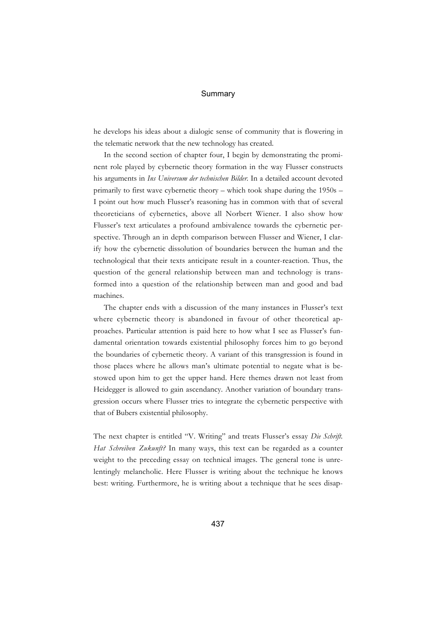he develops his ideas about a dialogic sense of community that is flowering in the telematic network that the new technology has created.

In the second section of chapter four, I begin by demonstrating the prominent role played by cybernetic theory formation in the way Flusser constructs his arguments in *Ins Universum der technischen Bilder.* In a detailed account devoted primarily to first wave cybernetic theory – which took shape during the 1950s – I point out how much Flusser's reasoning has in common with that of several theoreticians of cybernetics, above all Norbert Wiener. I also show how Flusser's text articulates a profound ambivalence towards the cybernetic perspective. Through an in depth comparison between Flusser and Wiener, I clarify how the cybernetic dissolution of boundaries between the human and the technological that their texts anticipate result in a counter-reaction. Thus, the question of the general relationship between man and technology is transformed into a question of the relationship between man and good and bad machines.

The chapter ends with a discussion of the many instances in Flusser's text where cybernetic theory is abandoned in favour of other theoretical approaches. Particular attention is paid here to how what I see as Flusser's fundamental orientation towards existential philosophy forces him to go beyond the boundaries of cybernetic theory. A variant of this transgression is found in those places where he allows man's ultimate potential to negate what is bestowed upon him to get the upper hand. Here themes drawn not least from Heidegger is allowed to gain ascendancy. Another variation of boundary transgression occurs where Flusser tries to integrate the cybernetic perspective with that of Bubers existential philosophy.

The next chapter is entitled "V. Writing" and treats Flusser's essay *Die Schrift. Hat Schreiben Zukunft?* In many ways, this text can be regarded as a counter weight to the preceding essay on technical images. The general tone is unrelentingly melancholic. Here Flusser is writing about the technique he knows best: writing. Furthermore, he is writing about a technique that he sees disap-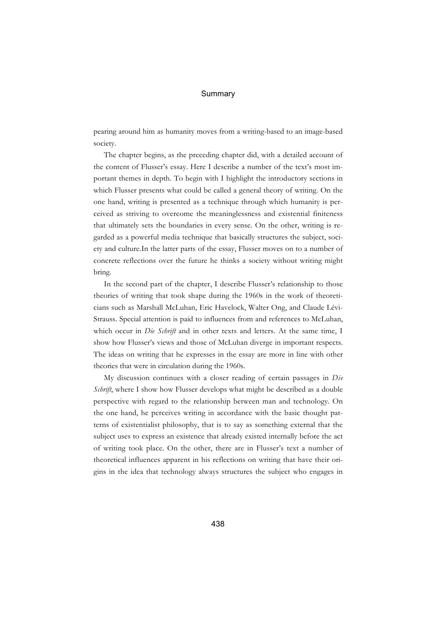pearing around him as humanity moves from a writing-based to an image-based society.

The chapter begins, as the preceding chapter did, with a detailed account of the content of Flusser's essay. Here I describe a number of the text's most important themes in depth. To begin with I highlight the introductory sections in which Flusser presents what could be called a general theory of writing. On the one hand, writing is presented as a technique through which humanity is perceived as striving to overcome the meaninglessness and existential finiteness that ultimately sets the boundaries in every sense. On the other, writing is regarded as a powerful media technique that basically structures the subject, society and culture.In the latter parts of the essay, Flusser moves on to a number of concrete reflections over the future he thinks a society without writing might bring.

In the second part of the chapter, I describe Flusser's relationship to those theories of writing that took shape during the 1960s in the work of theoreticians such as Marshall McLuhan, Eric Havelock, Walter Ong, and Claude Lévi-Strauss. Special attention is paid to influences from and references to McLuhan, which occur in *Die Schrift* and in other texts and letters. At the same time, I show how Flusser's views and those of McLuhan diverge in important respects. The ideas on writing that he expresses in the essay are more in line with other theories that were in circulation during the 1960s.

My discussion continues with a closer reading of certain passages in *Die Schrift*, where I show how Flusser develops what might be described as a double perspective with regard to the relationship between man and technology. On the one hand, he perceives writing in accordance with the basic thought patterns of existentialist philosophy, that is to say as something external that the subject uses to express an existence that already existed internally before the act of writing took place. On the other, there are in Flusser's text a number of theoretical influences apparent in his reflections on writing that have their origins in the idea that technology always structures the subject who engages in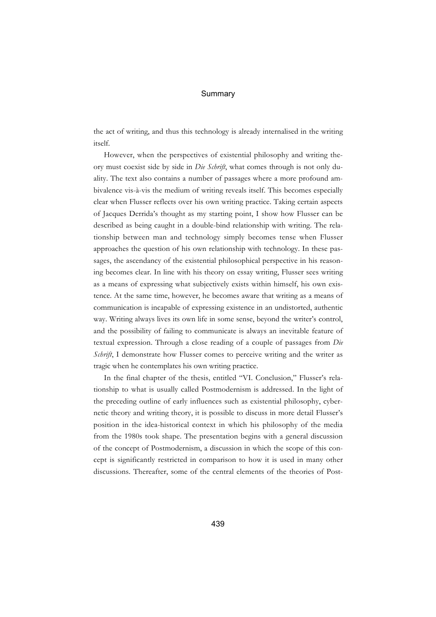the act of writing, and thus this technology is already internalised in the writing itself.

However, when the perspectives of existential philosophy and writing theory must coexist side by side in *Die Schrift*, what comes through is not only duality. The text also contains a number of passages where a more profound ambivalence vis-à-vis the medium of writing reveals itself. This becomes especially clear when Flusser reflects over his own writing practice. Taking certain aspects of Jacques Derrida's thought as my starting point, I show how Flusser can be described as being caught in a double-bind relationship with writing. The relationship between man and technology simply becomes tense when Flusser approaches the question of his own relationship with technology. In these passages, the ascendancy of the existential philosophical perspective in his reasoning becomes clear. In line with his theory on essay writing, Flusser sees writing as a means of expressing what subjectively exists within himself, his own existence. At the same time, however, he becomes aware that writing as a means of communication is incapable of expressing existence in an undistorted, authentic way. Writing always lives its own life in some sense, beyond the writer's control, and the possibility of failing to communicate is always an inevitable feature of textual expression. Through a close reading of a couple of passages from *Die Schrift*, I demonstrate how Flusser comes to perceive writing and the writer as tragic when he contemplates his own writing practice.

In the final chapter of the thesis, entitled "VI. Conclusion," Flusser's relationship to what is usually called Postmodernism is addressed. In the light of the preceding outline of early influences such as existential philosophy, cybernetic theory and writing theory, it is possible to discuss in more detail Flusser's position in the idea-historical context in which his philosophy of the media from the 1980s took shape. The presentation begins with a general discussion of the concept of Postmodernism, a discussion in which the scope of this concept is significantly restricted in comparison to how it is used in many other discussions. Thereafter, some of the central elements of the theories of Post-